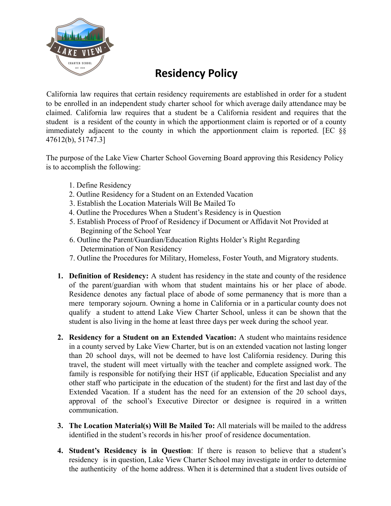

## **Residency Policy**

California law requires that certain residency requirements are established in order for a student to be enrolled in an independent study charter school for which average daily attendance may be claimed. California law requires that a student be a California resident and requires that the student is a resident of the county in which the apportionment claim is reported or of a county immediately adjacent to the county in which the apportionment claim is reported. [EC §§ 47612(b), 51747.3]

The purpose of the Lake View Charter School Governing Board approving this Residency Policy is to accomplish the following:

- 1. Define Residency
- 2. Outline Residency for a Student on an Extended Vacation
- 3. Establish the Location Materials Will Be Mailed To
- 4. Outline the Procedures When a Student's Residency is in Question
- 5. Establish Process of Proof of Residency if Document or Affidavit Not Provided at Beginning of the School Year
- 6. Outline the Parent/Guardian/Education Rights Holder's Right Regarding Determination of Non Residency
- 7. Outline the Procedures for Military, Homeless, Foster Youth, and Migratory students.
- **1. Definition of Residency:** A student has residency in the state and county of the residence of the parent/guardian with whom that student maintains his or her place of abode. Residence denotes any factual place of abode of some permanency that is more than a mere temporary sojourn. Owning a home in California or in a particular county does not qualify a student to attend Lake View Charter School, unless it can be shown that the student is also living in the home at least three days per week during the school year.
- **2. Residency for a Student on an Extended Vacation:** A student who maintains residence in a county served by Lake View Charter, but is on an extended vacation not lasting longer than 20 school days, will not be deemed to have lost California residency. During this travel, the student will meet virtually with the teacher and complete assigned work. The family is responsible for notifying their HST (if applicable, Education Specialist and any other staff who participate in the education of the student) for the first and last day of the Extended Vacation. If a student has the need for an extension of the 20 school days, approval of the school's Executive Director or designee is required in a written communication.
- **3. The Location Material(s) Will Be Mailed To:** All materials will be mailed to the address identified in the student's records in his/her proof of residence documentation.
- **4. Student's Residency is in Question**: If there is reason to believe that a student's residency is in question, Lake View Charter School may investigate in order to determine the authenticity of the home address. When it is determined that a student lives outside of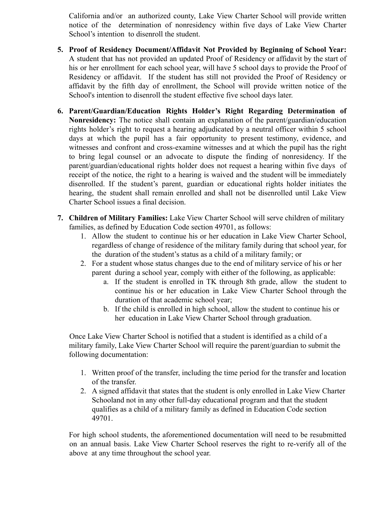California and/or an authorized county, Lake View Charter School will provide written notice of the determination of nonresidency within five days of Lake View Charter School's intention to disenroll the student.

- **5. Proof of Residency Document/Affidavit Not Provided by Beginning of School Year:** A student that has not provided an updated Proof of Residency or affidavit by the start of his or her enrollment for each school year, will have 5 school days to provide the Proof of Residency or affidavit. If the student has still not provided the Proof of Residency or affidavit by the fifth day of enrollment, the School will provide written notice of the School's intention to disenroll the student effective five school days later.
- **6. Parent/Guardian/Education Rights Holder's Right Regarding Determination of Nonresidency:** The notice shall contain an explanation of the parent/guardian/education rights holder's right to request a hearing adjudicated by a neutral officer within 5 school days at which the pupil has a fair opportunity to present testimony, evidence, and witnesses and confront and cross-examine witnesses and at which the pupil has the right to bring legal counsel or an advocate to dispute the finding of nonresidency. If the parent/guardian/educational rights holder does not request a hearing within five days of receipt of the notice, the right to a hearing is waived and the student will be immediately disenrolled. If the student's parent, guardian or educational rights holder initiates the hearing, the student shall remain enrolled and shall not be disenrolled until Lake View Charter School issues a final decision.
- **7. Children of Military Families:** Lake View Charter School will serve children of military families, as defined by Education Code section 49701, as follows:
	- 1. Allow the student to continue his or her education in Lake View Charter School, regardless of change of residence of the military family during that school year, for the duration of the student's status as a child of a military family; or
	- 2. For a student whose status changes due to the end of military service of his or her parent during a school year, comply with either of the following, as applicable:
		- a. If the student is enrolled in TK through 8th grade, allow the student to continue his or her education in Lake View Charter School through the duration of that academic school year;
		- b. If the child is enrolled in high school, allow the student to continue his or her education in Lake View Charter School through graduation.

Once Lake View Charter School is notified that a student is identified as a child of a military family, Lake View Charter School will require the parent/guardian to submit the following documentation:

- 1. Written proof of the transfer, including the time period for the transfer and location of the transfer.
- 2. A signed affidavit that states that the student is only enrolled in Lake View Charter Schooland not in any other full-day educational program and that the student qualifies as a child of a military family as defined in Education Code section 49701.

For high school students, the aforementioned documentation will need to be resubmitted on an annual basis. Lake View Charter School reserves the right to re-verify all of the above at any time throughout the school year.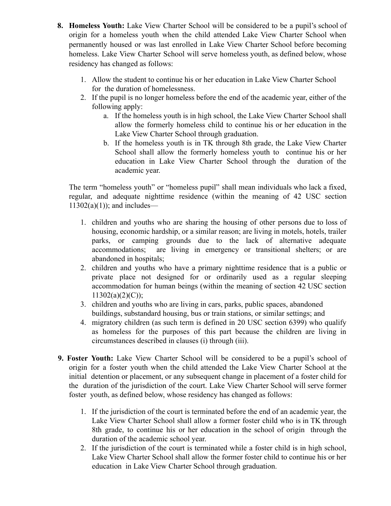- **8. Homeless Youth:** Lake View Charter School will be considered to be a pupil's school of origin for a homeless youth when the child attended Lake View Charter School when permanently housed or was last enrolled in Lake View Charter School before becoming homeless. Lake View Charter School will serve homeless youth, as defined below, whose residency has changed as follows:
	- 1. Allow the student to continue his or her education in Lake View Charter School for the duration of homelessness.
	- 2. If the pupil is no longer homeless before the end of the academic year, either of the following apply:
		- a. If the homeless youth is in high school, the Lake View Charter School shall allow the formerly homeless child to continue his or her education in the Lake View Charter School through graduation.
		- b. If the homeless youth is in TK through 8th grade, the Lake View Charter School shall allow the formerly homeless youth to continue his or her education in Lake View Charter School through the duration of the academic year.

The term "homeless youth" or "homeless pupil" shall mean individuals who lack a fixed, regular, and adequate nighttime residence (within the meaning of 42 USC section  $11302(a)(1)$ ; and includes—

- 1. children and youths who are sharing the housing of other persons due to loss of housing, economic hardship, or a similar reason; are living in motels, hotels, trailer parks, or camping grounds due to the lack of alternative adequate accommodations; are living in emergency or transitional shelters; or are abandoned in hospitals;
- 2. children and youths who have a primary nighttime residence that is a public or private place not designed for or ordinarily used as a regular sleeping accommodation for human beings (within the meaning of section 42 USC section  $11302(a)(2)(C)$ ;
- 3. children and youths who are living in cars, parks, public spaces, abandoned buildings, substandard housing, bus or train stations, or similar settings; and
- 4. migratory children (as such term is defined in 20 USC section 6399) who qualify as homeless for the purposes of this part because the children are living in circumstances described in clauses (i) through (iii).
- **9. Foster Youth:** Lake View Charter School will be considered to be a pupil's school of origin for a foster youth when the child attended the Lake View Charter School at the initial detention or placement, or any subsequent change in placement of a foster child for the duration of the jurisdiction of the court. Lake View Charter School will serve former foster youth, as defined below, whose residency has changed as follows:
	- 1. If the jurisdiction of the court is terminated before the end of an academic year, the Lake View Charter School shall allow a former foster child who is in TK through 8th grade, to continue his or her education in the school of origin through the duration of the academic school year.
	- 2. If the jurisdiction of the court is terminated while a foster child is in high school, Lake View Charter School shall allow the former foster child to continue his or her education in Lake View Charter School through graduation.